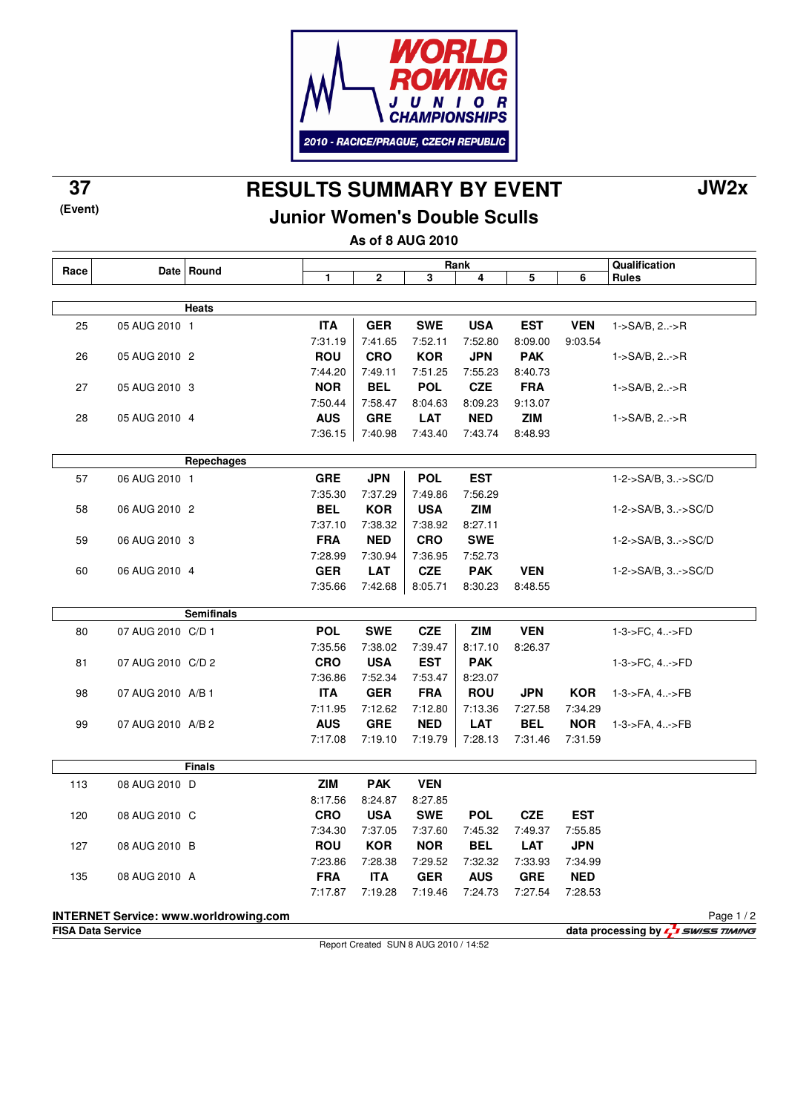

**(Event)**

## **RESULTS SUMMARY BY EVENT 37 JW2x**

### **Junior Women's Double Sculls**

**As of 8 AUG 2010**

| Race |                          | Date Round                                   |            |                                       |            | Rank       |            |            | Qualification                            |
|------|--------------------------|----------------------------------------------|------------|---------------------------------------|------------|------------|------------|------------|------------------------------------------|
|      |                          |                                              | 1          | $\mathbf{2}$                          | 3          | 4          | 5          | 6          | <b>Rules</b>                             |
|      |                          |                                              |            |                                       |            |            |            |            |                                          |
|      |                          | Heats                                        |            |                                       |            |            |            |            |                                          |
| 25   | 05 AUG 2010 1            |                                              | <b>ITA</b> | <b>GER</b>                            | <b>SWE</b> | <b>USA</b> | <b>EST</b> | <b>VEN</b> | 1->SA/B, 2->R                            |
|      |                          |                                              | 7:31.19    | 7:41.65                               | 7:52.11    | 7:52.80    | 8:09.00    | 9:03.54    |                                          |
| 26   | 05 AUG 2010 2            |                                              | <b>ROU</b> | <b>CRO</b>                            | <b>KOR</b> | <b>JPN</b> | <b>PAK</b> |            | $1 - SAVB, 2 - P$                        |
|      |                          |                                              | 7:44.20    | 7:49.11                               | 7:51.25    | 7:55.23    | 8:40.73    |            |                                          |
| 27   | 05 AUG 2010 3            |                                              | <b>NOR</b> | <b>BEL</b>                            | <b>POL</b> | <b>CZE</b> | <b>FRA</b> |            | $1-SA/B, 2-P$                            |
|      |                          |                                              | 7:50.44    | 7:58.47                               | 8:04.63    | 8:09.23    | 9:13.07    |            |                                          |
| 28   | 05 AUG 2010 4            |                                              | <b>AUS</b> | <b>GRE</b>                            | <b>LAT</b> | <b>NED</b> | <b>ZIM</b> |            | $1-SA/B, 2-P$                            |
|      |                          |                                              | 7:36.15    | 7:40.98                               | 7:43.40    | 7:43.74    | 8:48.93    |            |                                          |
|      |                          |                                              |            |                                       |            |            |            |            |                                          |
|      |                          | Repechages                                   |            |                                       |            |            |            |            |                                          |
| 57   | 06 AUG 2010 1            |                                              | <b>GRE</b> | <b>JPN</b>                            | <b>POL</b> | <b>EST</b> |            |            | 1-2->SA/B, 3->SC/D                       |
|      |                          |                                              | 7:35.30    | 7:37.29                               | 7:49.86    | 7:56.29    |            |            |                                          |
| 58   | 06 AUG 2010 2            |                                              | <b>BEL</b> | <b>KOR</b>                            | <b>USA</b> | <b>ZIM</b> |            |            | 1-2->SA/B, 3->SC/D                       |
|      |                          |                                              | 7:37.10    | 7:38.32                               | 7:38.92    | 8:27.11    |            |            |                                          |
| 59   | 06 AUG 2010 3            |                                              | <b>FRA</b> | <b>NED</b>                            | <b>CRO</b> | <b>SWE</b> |            |            | 1-2->SA/B, 3->SC/D                       |
|      |                          |                                              | 7:28.99    | 7:30.94                               | 7:36.95    | 7:52.73    |            |            |                                          |
| 60   | 06 AUG 2010 4            |                                              | <b>GER</b> | <b>LAT</b>                            | <b>CZE</b> | <b>PAK</b> | <b>VEN</b> |            | 1-2->SA/B, 3->SC/D                       |
|      |                          |                                              | 7:35.66    | 7:42.68                               | 8:05.71    | 8:30.23    | 8:48.55    |            |                                          |
|      |                          |                                              |            |                                       |            |            |            |            |                                          |
|      |                          | <b>Semifinals</b>                            |            |                                       |            |            |            |            |                                          |
| 80   | 07 AUG 2010 C/D 1        |                                              | <b>POL</b> | <b>SWE</b>                            | <b>CZE</b> | <b>ZIM</b> | <b>VEN</b> |            | 1-3->FC, 4->FD                           |
|      |                          |                                              | 7:35.56    | 7:38.02                               | 7:39.47    | 8:17.10    | 8:26.37    |            |                                          |
| 81   | 07 AUG 2010 C/D 2        |                                              | <b>CRO</b> | <b>USA</b>                            | <b>EST</b> | <b>PAK</b> |            |            | 1-3->FC, 4->FD                           |
|      |                          |                                              | 7:36.86    | 7:52.34                               | 7:53.47    | 8:23.07    |            |            |                                          |
| 98   | 07 AUG 2010 A/B 1        |                                              | <b>ITA</b> | <b>GER</b>                            | <b>FRA</b> | <b>ROU</b> | <b>JPN</b> | <b>KOR</b> | 1-3->FA, 4->FB                           |
|      |                          |                                              | 7:11.95    | 7:12.62                               | 7:12.80    | 7:13.36    | 7:27.58    | 7:34.29    |                                          |
| 99   | 07 AUG 2010 A/B 2        |                                              | <b>AUS</b> | <b>GRE</b>                            | <b>NED</b> | <b>LAT</b> | <b>BEL</b> | <b>NOR</b> | 1-3->FA, 4->FB                           |
|      |                          |                                              | 7:17.08    | 7:19.10                               | 7:19.79    | 7:28.13    | 7:31.46    | 7:31.59    |                                          |
|      |                          |                                              |            |                                       |            |            |            |            |                                          |
|      |                          | <b>Finals</b>                                |            |                                       |            |            |            |            |                                          |
| 113  | 08 AUG 2010 D            |                                              | <b>ZIM</b> | <b>PAK</b>                            | <b>VEN</b> |            |            |            |                                          |
|      |                          |                                              | 8:17.56    | 8:24.87                               | 8:27.85    |            |            |            |                                          |
| 120  | 08 AUG 2010 C            |                                              | <b>CRO</b> | <b>USA</b>                            | <b>SWE</b> | <b>POL</b> | <b>CZE</b> | <b>EST</b> |                                          |
|      |                          |                                              | 7:34.30    | 7:37.05                               | 7:37.60    | 7:45.32    | 7:49.37    | 7:55.85    |                                          |
| 127  | 08 AUG 2010 B            |                                              | <b>ROU</b> | <b>KOR</b>                            | <b>NOR</b> | <b>BEL</b> | LAT        | <b>JPN</b> |                                          |
|      |                          |                                              | 7:23.86    | 7:28.38                               | 7:29.52    | 7:32.32    | 7:33.93    | 7:34.99    |                                          |
| 135  | 08 AUG 2010 A            |                                              | <b>FRA</b> | <b>ITA</b>                            | <b>GER</b> | <b>AUS</b> | <b>GRE</b> | <b>NED</b> |                                          |
|      |                          |                                              | 7:17.87    | 7:19.28                               | 7:19.46    | 7:24.73    | 7:27.54    | 7:28.53    |                                          |
|      |                          |                                              |            |                                       |            |            |            |            |                                          |
|      |                          | <b>INTERNET Service: www.worldrowing.com</b> |            |                                       |            |            |            |            | Page $1/2$                               |
|      | <b>FISA Data Service</b> |                                              |            | Report Created SUN 8 AUG 2010 / 14:52 |            |            |            |            | data processing by <b>5</b> SWISS TIMING |
|      |                          |                                              |            |                                       |            |            |            |            |                                          |